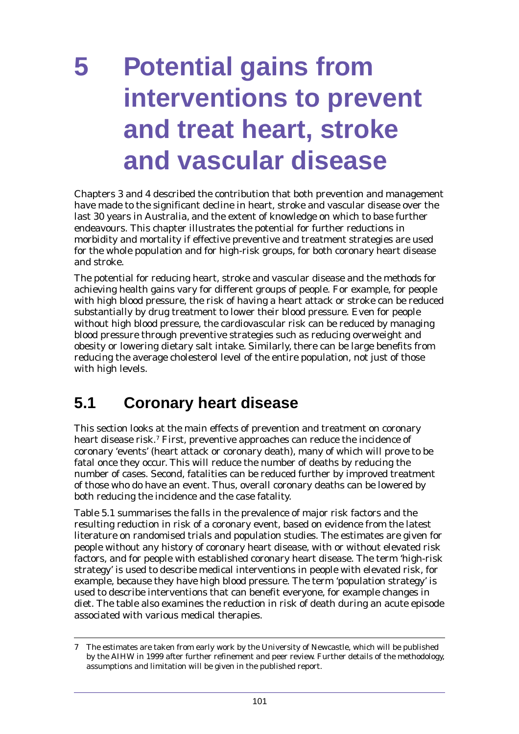# **5 Potential gains from interventions to prevent and treat heart, stroke and vascular disease**

Chapters 3 and 4 described the contribution that both prevention and management have made to the significant decline in heart, stroke and vascular disease over the last 30 years in Australia, and the extent of knowledge on which to base further endeavours. This chapter illustrates the potential for further reductions in morbidity and mortality if effective preventive and treatment strategies are used for the whole population and for high-risk groups, for both coronary heart disease and stroke.

The potential for reducing heart, stroke and vascular disease and the methods for achieving health gains vary for different groups of people. For example, for people with high blood pressure, the risk of having a heart attack or stroke can be reduced substantially by drug treatment to lower their blood pressure. Even for people without high blood pressure, the cardiovascular risk can be reduced by managing blood pressure through preventive strategies such as reducing overweight and obesity or lowering dietary salt intake. Similarly, there can be large benefits from reducing the average cholesterol level of the entire population, not just of those with high levels.

# **5.1 Coronary heart disease**

This section looks at the main effects of prevention and treatment on coronary heart disease risk.<sup>7</sup> First, preventive approaches can reduce the incidence of coronary 'events' (heart attack or coronary death), many of which will prove to be fatal once they occur. This will reduce the number of deaths by reducing the number of cases. Second, fatalities can be reduced further by improved treatment of those who do have an event. Thus, overall coronary deaths can be lowered by both reducing the incidence and the case fatality.

Table 5.1 summarises the falls in the prevalence of major risk factors and the resulting reduction in risk of a coronary event, based on evidence from the latest literature on randomised trials and population studies. The estimates are given for people without any history of coronary heart disease, with or without elevated risk factors, and for people with established coronary heart disease. The term 'high-risk strategy' is used to describe medical interventions in people with elevated risk, for example, because they have high blood pressure. The term 'population strategy' is used to describe interventions that can benefit everyone, for example changes in diet. The table also examines the reduction in risk of death during an acute episode associated with various medical therapies.

<sup>7</sup> The estimates are taken from early work by the University of Newcastle, which will be published by the AIHW in 1999 after further refinement and peer review. Further details of the methodology, assumptions and limitation will be given in the published report.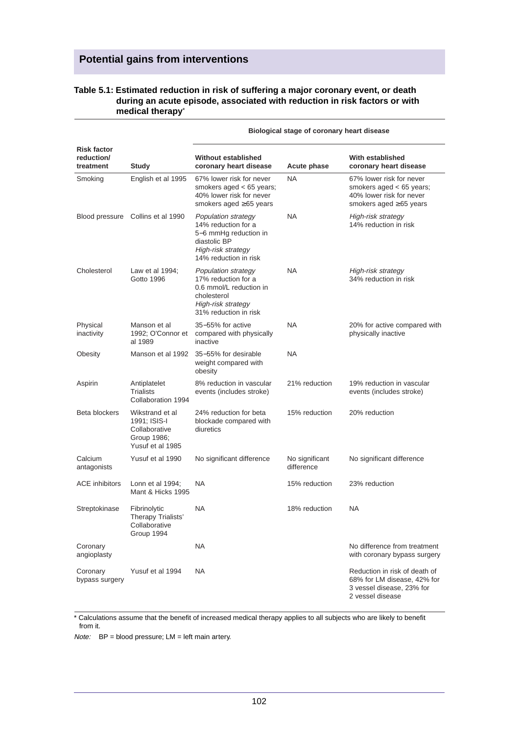#### **Table 5.1: Estimated reduction in risk of suffering a major coronary event, or death during an acute episode, associated with reduction in risk factors or with medical therapy**\*

|                                               |                                                                                     |                                                                                                                                     | Biological stage of coronary heart disease |                                                                                                               |
|-----------------------------------------------|-------------------------------------------------------------------------------------|-------------------------------------------------------------------------------------------------------------------------------------|--------------------------------------------|---------------------------------------------------------------------------------------------------------------|
| <b>Risk factor</b><br>reduction/<br>treatment | Study                                                                               | <b>Without established</b><br>coronary heart disease                                                                                | <b>Acute phase</b>                         | With established<br>coronary heart disease                                                                    |
| Smoking                                       | English et al 1995                                                                  | 67% lower risk for never<br>smokers aged < 65 years;<br>40% lower risk for never<br>smokers aged $\geq 65$ years                    | <b>NA</b>                                  | 67% lower risk for never<br>smokers aged $<$ 65 years;<br>40% lower risk for never<br>smokers aged ≥65 years  |
|                                               | Blood pressure Collins et al 1990                                                   | Population strategy<br>14% reduction for a<br>5–6 mmHg reduction in<br>diastolic BP<br>High-risk strategy<br>14% reduction in risk  | <b>NA</b>                                  | High-risk strategy<br>14% reduction in risk                                                                   |
| Cholesterol                                   | Law et al 1994;<br>Gotto 1996                                                       | Population strategy<br>17% reduction for a<br>0.6 mmol/L reduction in<br>cholesterol<br>High-risk strategy<br>31% reduction in risk | <b>NA</b>                                  | High-risk strategy<br>34% reduction in risk                                                                   |
| Physical<br>inactivity                        | Manson et al<br>1992; O'Connor et<br>al 1989                                        | 35-55% for active<br>compared with physically<br>inactive                                                                           | <b>NA</b>                                  | 20% for active compared with<br>physically inactive                                                           |
| Obesity                                       | Manson et al 1992                                                                   | 35-55% for desirable<br>weight compared with<br>obesity                                                                             | <b>NA</b>                                  |                                                                                                               |
| Aspirin                                       | Antiplatelet<br><b>Trialists</b><br>Collaboration 1994                              | 8% reduction in vascular<br>events (includes stroke)                                                                                | 21% reduction                              | 19% reduction in vascular<br>events (includes stroke)                                                         |
| Beta blockers                                 | Wikstrand et al<br>1991; ISIS-I<br>Collaborative<br>Group 1986;<br>Yusuf et al 1985 | 24% reduction for beta<br>blockade compared with<br>diuretics                                                                       | 15% reduction                              | 20% reduction                                                                                                 |
| Calcium<br>antagonists                        | Yusuf et al 1990                                                                    | No significant difference                                                                                                           | No significant<br>difference               | No significant difference                                                                                     |
| <b>ACE inhibitors</b>                         | Lonn et al $1994$ ;<br>Mant & Hicks 1995                                            | NA.                                                                                                                                 | 15% reduction                              | 23% reduction                                                                                                 |
| Streptokinase                                 | Fibrinolytic<br>Therapy Trialists'<br>Collaborative<br>Group 1994                   | NA                                                                                                                                  | 18% reduction                              | NA.                                                                                                           |
| Coronary<br>angioplasty                       |                                                                                     | NA.                                                                                                                                 |                                            | No difference from treatment<br>with coronary bypass surgery                                                  |
| Coronary<br>bypass surgery                    | Yusuf et al 1994                                                                    | <b>NA</b>                                                                                                                           |                                            | Reduction in risk of death of<br>68% for LM disease, 42% for<br>3 vessel disease, 23% for<br>2 vessel disease |

\* Calculations assume that the benefit of increased medical therapy applies to all subjects who are likely to benefit from it.

 $Note: BP = blood pressure; LM = left main artery.$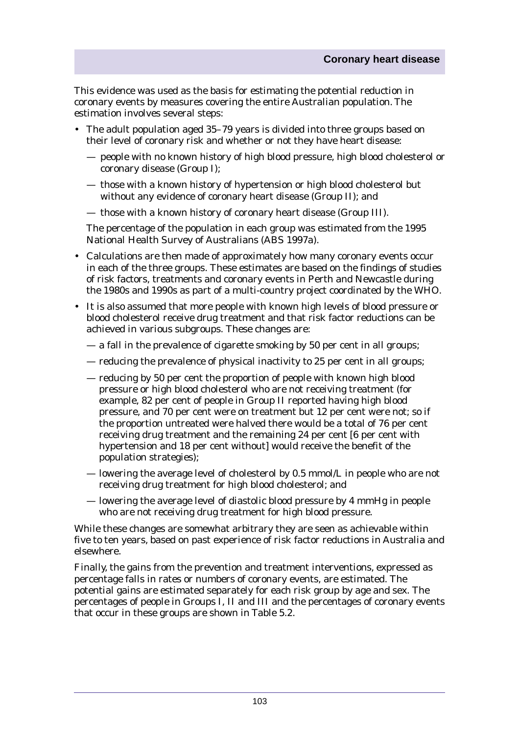This evidence was used as the basis for estimating the potential reduction in coronary events by measures covering the entire Australian population. The estimation involves several steps:

- The adult population aged 35–79 years is divided into three groups based on their level of coronary risk and whether or not they have heart disease:
	- people with no known history of high blood pressure, high blood cholesterol or coronary disease (Group I);
	- those with a known history of hypertension or high blood cholesterol but without any evidence of coronary heart disease (Group II); and
	- those with a known history of coronary heart disease (Group III).

The percentage of the population in each group was estimated from the 1995 National Health Survey of Australians (ABS 1997a).

- Calculations are then made of approximately how many coronary events occur in each of the three groups. These estimates are based on the findings of studies of risk factors, treatments and coronary events in Perth and Newcastle during the 1980s and 1990s as part of a multi-country project coordinated by the WHO.
- It is also assumed that more people with known high levels of blood pressure or blood cholesterol receive drug treatment and that risk factor reductions can be achieved in various subgroups. These changes are:
	- a fall in the prevalence of cigarette smoking by 50 per cent in all groups;
	- reducing the prevalence of physical inactivity to 25 per cent in all groups;
	- reducing by 50 per cent the proportion of people with known high blood pressure or high blood cholesterol who are not receiving treatment (for example, 82 per cent of people in Group II reported having high blood pressure, and 70 per cent were on treatment but 12 per cent were not; so if the proportion untreated were halved there would be a total of 76 per cent receiving drug treatment and the remaining 24 per cent [6 per cent with] hypertension and 18 per cent without] would receive the benefit of the population strategies);
	- lowering the average level of cholesterol by  $0.5 \text{ mmol/L}$  in people who are not receiving drug treatment for high blood cholesterol; and
	- lowering the average level of diastolic blood pressure by 4 mmHg in people who are not receiving drug treatment for high blood pressure.

While these changes are somewhat arbitrary they are seen as achievable within five to ten years, based on past experience of risk factor reductions in Australia and elsewhere.

Finally, the gains from the prevention and treatment interventions, expressed as percentage falls in rates or numbers of coronary events, are estimated. The potential gains are estimated separately for each risk group by age and sex. The percentages of people in Groups I, II and III and the percentages of coronary events that occur in these groups are shown in Table 5.2.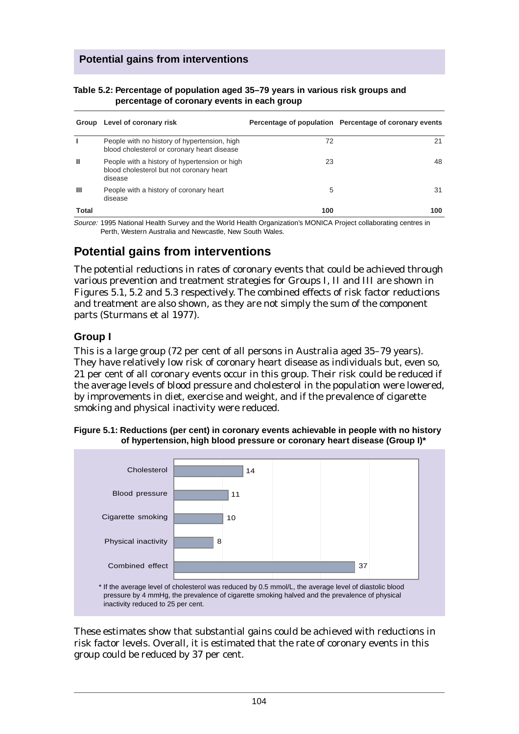| Table 5.2: Percentage of population aged 35–79 years in various risk groups and |  |
|---------------------------------------------------------------------------------|--|
| percentage of coronary events in each group                                     |  |

| Group        | Level of coronary risk                                                                               |     | Percentage of population Percentage of coronary events |
|--------------|------------------------------------------------------------------------------------------------------|-----|--------------------------------------------------------|
|              | People with no history of hypertension, high<br>blood cholesterol or coronary heart disease          | 72  | 21                                                     |
| ш            | People with a history of hypertension or high<br>blood cholesterol but not coronary heart<br>disease | 23  | 48                                                     |
| Ш            | People with a history of coronary heart<br>disease                                                   | 5   | 31                                                     |
| <b>Total</b> |                                                                                                      | 100 | 100                                                    |

Source: 1995 National Health Survey and the World Health Organization's MONICA Project collaborating centres in Perth, Western Australia and Newcastle, New South Wales.

## **Potential gains from interventions**

The potential reductions in rates of coronary events that could be achieved through various prevention and treatment strategies for Groups I, II and III are shown in Figures 5.1, 5.2 and 5.3 respectively. The combined effects of risk factor reductions and treatment are also shown, as they are not simply the sum of the component parts (Sturmans et al 1977).

#### **Group I**

This is a large group (72 per cent of all persons in Australia aged 35–79 years). They have relatively low risk of coronary heart disease as individuals but, even so, 21 per cent of all coronary events occur in this group. Their risk could be reduced if the average levels of blood pressure and cholesterol in the population were lowered, by improvements in diet, exercise and weight, and if the prevalence of cigarette smoking and physical inactivity were reduced.





These estimates show that substantial gains could be achieved with reductions in risk factor levels. Overall, it is estimated that the rate of coronary events in this group could be reduced by 37 per cent.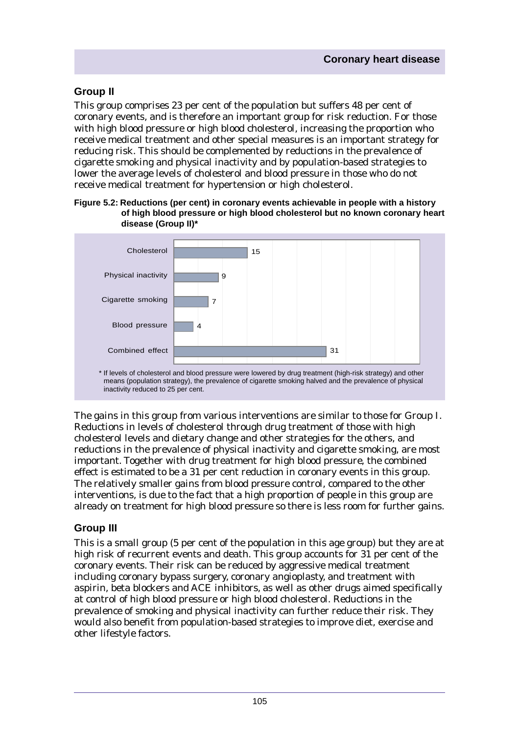#### **Group II**

This group comprises 23 per cent of the population but suffers 48 per cent of coronary events, and is therefore an important group for risk reduction. For those with high blood pressure or high blood cholesterol, increasing the proportion who receive medical treatment and other special measures is an important strategy for reducing risk. This should be complemented by reductions in the prevalence of cigarette smoking and physical inactivity and by population-based strategies to lower the average levels of cholesterol and blood pressure in those who do not receive medical treatment for hypertension or high cholesterol.

#### **Figure 5.2: Reductions (per cent) in coronary events achievable in people with a history of high blood pressure or high blood cholesterol but no known coronary heart disease (Group II)\***



The gains in this group from various interventions are similar to those for Group I. Reductions in levels of cholesterol through drug treatment of those with high cholesterol levels and dietary change and other strategies for the others, and reductions in the prevalence of physical inactivity and cigarette smoking, are most important. Together with drug treatment for high blood pressure, the combined effect is estimated to be a 31 per cent reduction in coronary events in this group. The relatively smaller gains from blood pressure control, compared to the other interventions, is due to the fact that a high proportion of people in this group are already on treatment for high blood pressure so there is less room for further gains.

#### **Group III**

This is a small group (5 per cent of the population in this age group) but they are at high risk of recurrent events and death. This group accounts for 31 per cent of the coronary events. Their risk can be reduced by aggressive medical treatment including coronary bypass surgery, coronary angioplasty, and treatment with aspirin, beta blockers and ACE inhibitors, as well as other drugs aimed specifically at control of high blood pressure or high blood cholesterol. Reductions in the prevalence of smoking and physical inactivity can further reduce their risk. They would also benefit from population-based strategies to improve diet, exercise and other lifestyle factors.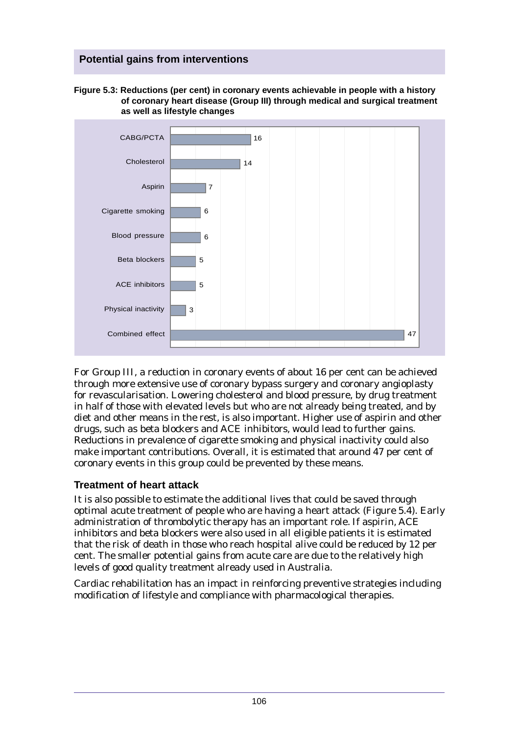**Figure 5.3: Reductions (per cent) in coronary events achievable in people with a history of coronary heart disease (Group III) through medical and surgical treatment as well as lifestyle changes**



For Group III, a reduction in coronary events of about 16 per cent can be achieved through more extensive use of coronary bypass surgery and coronary angioplasty for revascularisation. Lowering cholesterol and blood pressure, by drug treatment in half of those with elevated levels but who are not already being treated, and by diet and other means in the rest, is also important. Higher use of aspirin and other drugs, such as beta blockers and ACE inhibitors, would lead to further gains. Reductions in prevalence of cigarette smoking and physical inactivity could also make important contributions. Overall, it is estimated that around 47 per cent of coronary events in this group could be prevented by these means.

#### **Treatment of heart attack**

It is also possible to estimate the additional lives that could be saved through optimal acute treatment of people who are having a heart attack (Figure 5.4). Early administration of thrombolytic therapy has an important role. If aspirin, ACE inhibitors and beta blockers were also used in all eligible patients it is estimated that the risk of death in those who reach hospital alive could be reduced by 12 per cent. The smaller potential gains from acute care are due to the relatively high levels of good quality treatment already used in Australia.

Cardiac rehabilitation has an impact in reinforcing preventive strategies including modification of lifestyle and compliance with pharmacological therapies.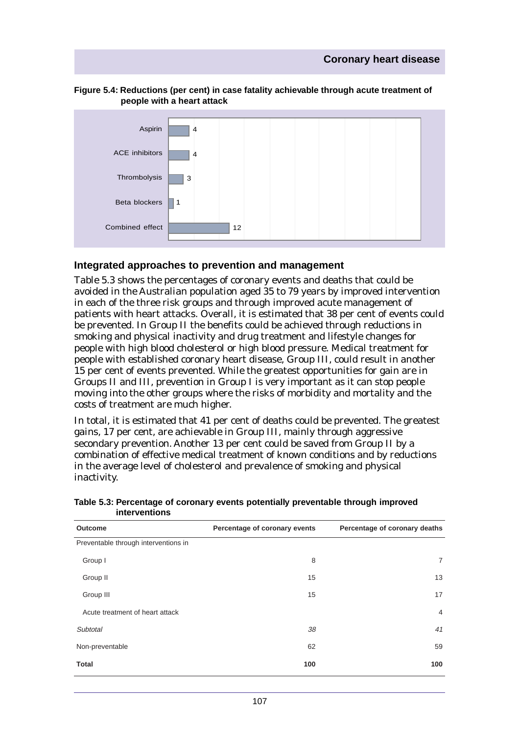

#### **Figure 5.4: Reductions (per cent) in case fatality achievable through acute treatment of people with a heart attack**

#### **Integrated approaches to prevention and management**

Table 5.3 shows the percentages of coronary events and deaths that could be avoided in the Australian population aged 35 to 79 years by improved intervention in each of the three risk groups and through improved acute management of patients with heart attacks. Overall, it is estimated that 38 per cent of events could be prevented. In Group II the benefits could be achieved through reductions in smoking and physical inactivity and drug treatment and lifestyle changes for people with high blood cholesterol or high blood pressure. Medical treatment for people with established coronary heart disease, Group III, could result in another 15 per cent of events prevented. While the greatest opportunities for gain are in Groups II and III, prevention in Group I is very important as it can stop people moving into the other groups where the risks of morbidity and mortality and the costs of treatment are much higher.

In total, it is estimated that 41 per cent of deaths could be prevented. The greatest gains, 17 per cent, are achievable in Group III, mainly through aggressive secondary prevention. Another 13 per cent could be saved from Group II by a combination of effective medical treatment of known conditions and by reductions in the average level of cholesterol and prevalence of smoking and physical inactivity.

| <b>Outcome</b>                       | Percentage of coronary events | Percentage of coronary deaths |
|--------------------------------------|-------------------------------|-------------------------------|
| Preventable through interventions in |                               |                               |
| Group I                              | 8                             | $\overline{7}$                |
| Group II                             | 15                            | 13                            |
| Group III                            | 15                            | 17                            |
| Acute treatment of heart attack      |                               | $\overline{4}$                |
| Subtotal                             | 38                            | 41                            |
| Non-preventable                      | 62                            | 59                            |
| <b>Total</b>                         | 100                           | 100                           |

**Table 5.3: Percentage of coronary events potentially preventable through improved interventions**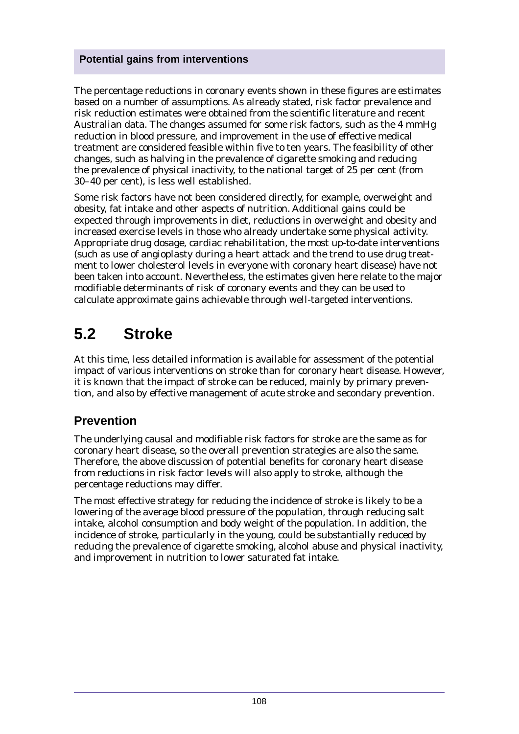The percentage reductions in coronary events shown in these figures are estimates based on a number of assumptions. As already stated, risk factor prevalence and risk reduction estimates were obtained from the scientific literature and recent Australian data. The changes assumed for some risk factors, such as the 4 mmHg reduction in blood pressure, and improvement in the use of effective medical treatment are considered feasible within five to ten years. The feasibility of other changes, such as halving in the prevalence of cigarette smoking and reducing the prevalence of physical inactivity, to the national target of 25 per cent (from 30–40 per cent), is less well established.

Some risk factors have not been considered directly, for example, overweight and obesity, fat intake and other aspects of nutrition. Additional gains could be expected through improvements in diet, reductions in overweight and obesity and increased exercise levels in those who already undertake some physical activity. Appropriate drug dosage, cardiac rehabilitation, the most up-to-date interventions (such as use of angioplasty during a heart attack and the trend to use drug treatment to lower cholesterol levels in everyone with coronary heart disease) have not been taken into account. Nevertheless, the estimates given here relate to the major modifiable determinants of risk of coronary events and they can be used to calculate approximate gains achievable through well-targeted interventions.

# **5.2 Stroke**

At this time, less detailed information is available for assessment of the potential impact of various interventions on stroke than for coronary heart disease. However, it is known that the impact of stroke can be reduced, mainly by primary prevention, and also by effective management of acute stroke and secondary prevention.

### **Prevention**

The underlying causal and modifiable risk factors for stroke are the same as for coronary heart disease, so the overall prevention strategies are also the same. Therefore, the above discussion of potential benefits for coronary heart disease from reductions in risk factor levels will also apply to stroke, although the percentage reductions may differ.

The most effective strategy for reducing the incidence of stroke is likely to be a lowering of the average blood pressure of the population, through reducing salt intake, alcohol consumption and body weight of the population. In addition, the incidence of stroke, particularly in the young, could be substantially reduced by reducing the prevalence of cigarette smoking, alcohol abuse and physical inactivity, and improvement in nutrition to lower saturated fat intake.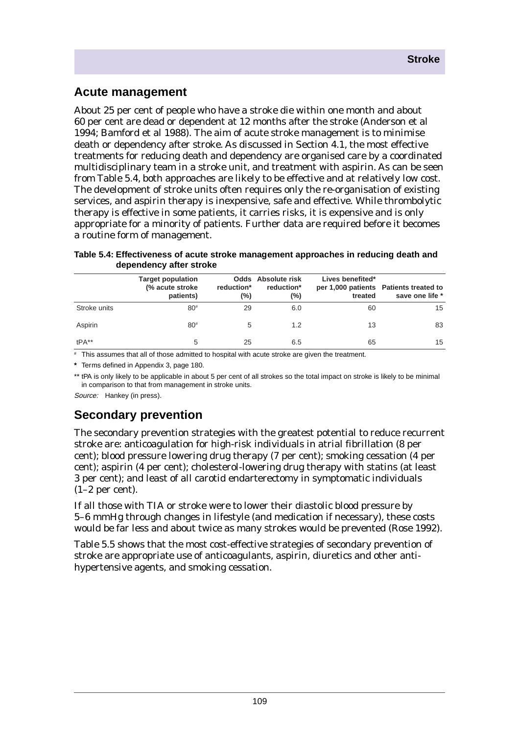### **Acute management**

About 25 per cent of people who have a stroke die within one month and about 60 per cent are dead or dependent at 12 months after the stroke (Anderson et al 1994; Bamford et al 1988). The aim of acute stroke management is to minimise death or dependency after stroke. As discussed in Section 4.1, the most effective treatments for reducing death and dependency are organised care by a coordinated multidisciplinary team in a stroke unit, and treatment with aspirin. As can be seen from Table 5.4, both approaches are likely to be effective and at relatively low cost. The development of stroke units often requires only the re-organisation of existing services, and aspirin therapy is inexpensive, safe and effective. While thrombolytic therapy is effective in some patients, it carries risks, it is expensive and is only appropriate for a minority of patients. Further data are required before it becomes a routine form of management.

|              | <b>Target population</b><br>(% acute stroke<br>patients) | reduction*<br>(%) | <b>Odds</b> Absolute risk<br>reduction*<br>(%) | Lives benefited*<br>treated | per 1,000 patients Patients treated to<br>save one life * |
|--------------|----------------------------------------------------------|-------------------|------------------------------------------------|-----------------------------|-----------------------------------------------------------|
| Stroke units | $80^{#}$                                                 | 29                | 6.0                                            | 60                          | 15                                                        |
| Aspirin      | $80^{#}$                                                 | 5                 | 1.2                                            | 13                          | 83                                                        |
| $tPA**$      | 5                                                        | 25                | 6.5                                            | 65                          | 15                                                        |

**Table 5.4: Effectiveness of acute stroke management approaches in reducing death and dependency after stroke**

# This assumes that all of those admitted to hospital with acute stroke are given the treatment.

**\*** Terms defined in Appendix 3, page 180.

\*\* tPA is only likely to be applicable in about 5 per cent of all strokes so the total impact on stroke is likely to be minimal in comparison to that from management in stroke units.

Source: Hankey (in press).

### **Secondary prevention**

The secondary prevention strategies with the greatest potential to reduce recurrent stroke are: anticoagulation for high-risk individuals in atrial fibrillation (8 per cent); blood pressure lowering drug therapy (7 per cent); smoking cessation (4 per cent); aspirin (4 per cent); cholesterol-lowering drug therapy with statins (at least 3 per cent); and least of all carotid endarterectomy in symptomatic individuals  $(1-2$  per cent).

If all those with TIA or stroke were to lower their diastolic blood pressure by 5–6 mmHg through changes in lifestyle (and medication if necessary), these costs would be far less and about twice as many strokes would be prevented (Rose 1992).

Table 5.5 shows that the most cost-effective strategies of secondary prevention of stroke are appropriate use of anticoagulants, aspirin, diuretics and other antihypertensive agents, and smoking cessation.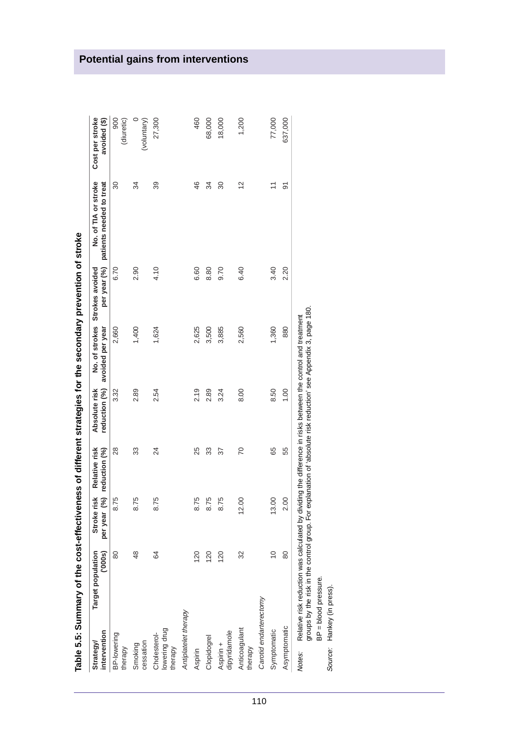|                                          | i que se a la primidad y no la la propieda de la propieda de la propieda de la propieda de la propieda de la p |                            |                                |                                |                                    |                                 |                                                  |                                 |
|------------------------------------------|----------------------------------------------------------------------------------------------------------------|----------------------------|--------------------------------|--------------------------------|------------------------------------|---------------------------------|--------------------------------------------------|---------------------------------|
| intervention<br>Strategy/                | (000s)<br>Target population                                                                                    | Stroke risk<br>per year (% | Relative risk<br>reduction (%) | reduction (%)<br>Absolute risk | No. of strokes<br>avoided per year | per year (%)<br>Strokes avoided | No. of TIA or stroke<br>patients needed to treat | Cost per stroke<br>avoided (\$) |
| BP-lowering<br>therapy                   | 80                                                                                                             | 8.75                       | $\frac{8}{2}$                  | 3.32                           | 2,660                              | 6.70                            | 30                                               | 900<br>(diuretic)               |
| cessation<br>Smoking                     | 48                                                                                                             | 8.75                       | 33                             | 2.89                           | 1,400                              | 2.90                            | 34                                               | (voluntary)                     |
| lowering drug<br>Cholesterol-<br>therapy | 64                                                                                                             | 8.75                       | 24                             | 2.54                           | 1,624                              | 4.10                            | 39                                               | 27,300                          |
| Antiplatelet therapy                     |                                                                                                                |                            |                                |                                |                                    |                                 |                                                  |                                 |
| Aspirin                                  | 120                                                                                                            | 8.75                       | 25                             | 2.19                           | 2,625                              | 6.60                            | 46                                               | 460                             |
| Clopidogrel                              | 120                                                                                                            | 8.75                       | 33                             | 2.89                           | 3,500                              | 8.80                            | 34                                               | 68,000                          |
| dipyridamole<br>Aspirin +                | 120                                                                                                            | 8.75                       | 57                             | 3.24                           | 3,885                              | 9.70                            | 30                                               | 18,000                          |
| Anticoagulant<br>therapy                 | 32                                                                                                             | 12.00                      | 20                             | 8.00                           | 2,560                              | 6.40                            | $\frac{2}{3}$                                    | 1,200                           |
| Carotid endarterectomy                   |                                                                                                                |                            |                                |                                |                                    |                                 |                                                  |                                 |
| Symptomatic                              | $\frac{1}{2}$                                                                                                  | 13.00                      | 65                             | 8.50                           | 1,360                              | 3.40                            | $\tilde{\phantom{0}}$                            | 77,000                          |
| Asymptomatic                             | 80                                                                                                             | 2.00                       | 55                             | 1.00                           | 880                                | 2.20                            | 5                                                | 637,000                         |
| Notes:                                   | Relative risk reduction was calculated by dividing the difference in risks between the control and treatment   |                            |                                |                                |                                    |                                 |                                                  |                                 |

secondary prevention of stroke **Table 5.5: Summary of the cost-effectiveness of different strategies for the secondary prevention of stroke** stratenies for the of different artiveness ر<br>د Table E E. SI

Relative risk reduction was calculated by dividing the difference in risks between the control and treatment<br>groups by the risk in the control group. For explanation of 'absolute risk reduction' see Appendix 3, page 180.<br>B groups by the risk in the control group. For explanation of 'absolute risk reduction' see Appendix 3, page 180. Notes: Relative risk reduction was calculated by dividing the difference in risks between the control and treatment

BP = blood pressure.

Source: Hankey (in press).

# **Potential gains from interventions**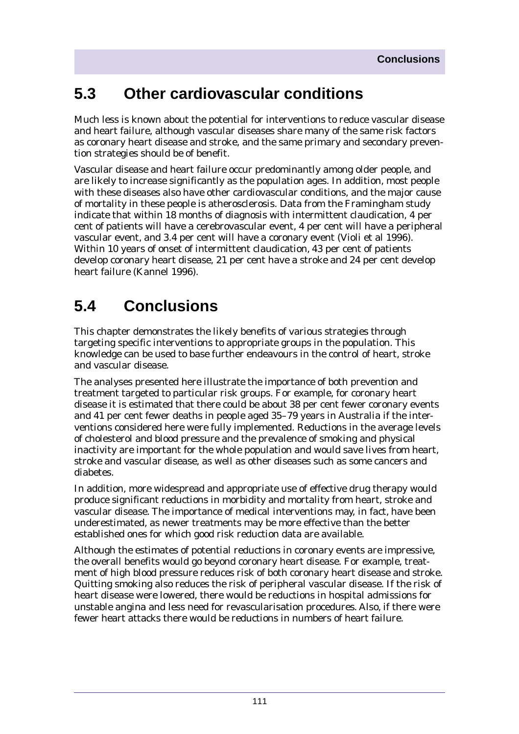# **5.3 Other cardiovascular conditions**

Much less is known about the potential for interventions to reduce vascular disease and heart failure, although vascular diseases share many of the same risk factors as coronary heart disease and stroke, and the same primary and secondary prevention strategies should be of benefit.

Vascular disease and heart failure occur predominantly among older people, and are likely to increase significantly as the population ages. In addition, most people with these diseases also have other cardiovascular conditions, and the major cause of mortality in these people is atherosclerosis. Data from the Framingham study indicate that within 18 months of diagnosis with intermittent claudication, 4 per cent of patients will have a cerebrovascular event, 4 per cent will have a peripheral vascular event, and 3.4 per cent will have a coronary event (Violi et al 1996). Within 10 years of onset of intermittent claudication, 43 per cent of patients develop coronary heart disease, 21 per cent have a stroke and 24 per cent develop heart failure (Kannel 1996).

# **5.4 Conclusions**

This chapter demonstrates the likely benefits of various strategies through targeting specific interventions to appropriate groups in the population. This knowledge can be used to base further endeavours in the control of heart, stroke and vascular disease.

The analyses presented here illustrate the importance of both prevention and treatment targeted to particular risk groups. For example, for coronary heart disease it is estimated that there could be about 38 per cent fewer coronary events and 41 per cent fewer deaths in people aged 35–79 years in Australia if the interventions considered here were fully implemented. Reductions in the average levels of cholesterol and blood pressure and the prevalence of smoking and physical inactivity are important for the whole population and would save lives from heart, stroke and vascular disease, as well as other diseases such as some cancers and diabetes.

In addition, more widespread and appropriate use of effective drug therapy would produce significant reductions in morbidity and mortality from heart, stroke and vascular disease. The importance of medical interventions may, in fact, have been underestimated, as newer treatments may be more effective than the better established ones for which good risk reduction data are available.

Although the estimates of potential reductions in coronary events are impressive, the overall benefits would go beyond coronary heart disease. For example, treatment of high blood pressure reduces risk of both coronary heart disease and stroke. Quitting smoking also reduces the risk of peripheral vascular disease. If the risk of heart disease were lowered, there would be reductions in hospital admissions for unstable angina and less need for revascularisation procedures. Also, if there were fewer heart attacks there would be reductions in numbers of heart failure.